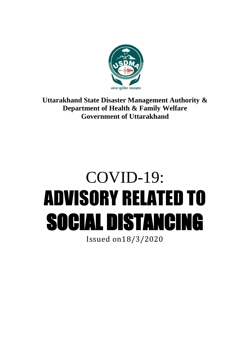

## **Uttarakhand State Disaster Management Authority & Department of Health & Family Welfare Government of Uttarakhand**

## COVID-19: ADVISORY RELATED TO SOCIAL DISTANCING

Issued on18/3/2020